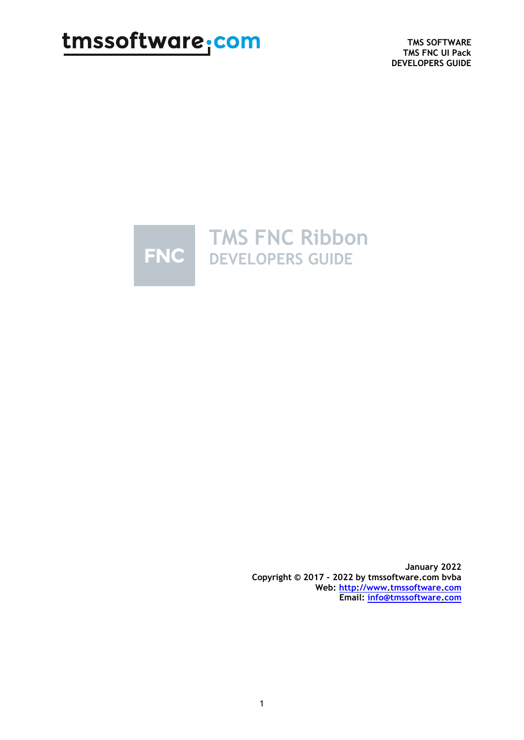**TMS SOFTWARE TMS FNC UI Pack DEVELOPERS GUIDE**



**January 2022 Copyright © 2017 - 2022 by tmssoftware.com bvba Web: [http://www.tmssoftware.com](http://www.tmssoftware.com/) Email: [info@tmssoftware.com](mailto:info@tmssoftware.com)**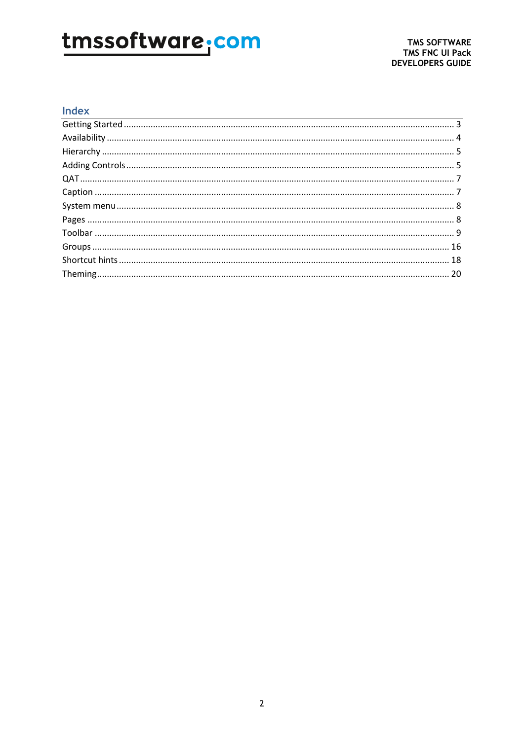### Index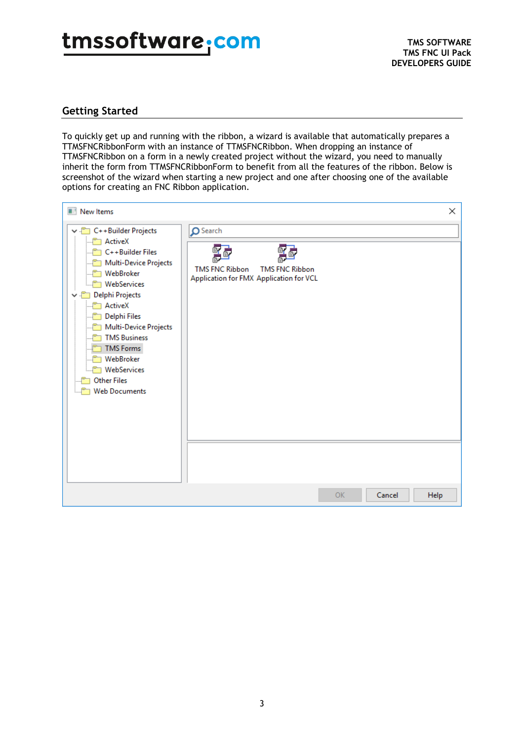### <span id="page-2-0"></span>**Getting Started**

To quickly get up and running with the ribbon, a wizard is available that automatically prepares a TTMSFNCRibbonForm with an instance of TTMSFNCRibbon. When dropping an instance of TTMSFNCRibbon on a form in a newly created project without the wizard, you need to manually inherit the form from TTMSFNCRibbonForm to benefit from all the features of the ribbon. Below is screenshot of the wizard when starting a new project and one after choosing one of the available options for creating an FNC Ribbon application.

| New Items                                                                                                                                                                                                                                                                                                                                                                                                           | × |
|---------------------------------------------------------------------------------------------------------------------------------------------------------------------------------------------------------------------------------------------------------------------------------------------------------------------------------------------------------------------------------------------------------------------|---|
| O Search<br>C++Builder Projects<br><b>ActiveX</b><br>C++Builder Files<br>Multi-Device Projects<br><b>TMS FNC Ribbon</b><br><b>TMS FNC Ribbon</b><br>WebBroker<br>Application for FMX Application for VCL<br>WebServices<br>Delphi Projects<br>ActiveX<br>Delphi Files<br>Multi-Device Projects<br><b>TMS Business</b><br><b>TMS Forms</b><br>WebBroker<br>WebServices<br><b>Other Files</b><br><b>Web Documents</b> |   |
| Cancel<br>OK.<br><b>Help</b>                                                                                                                                                                                                                                                                                                                                                                                        |   |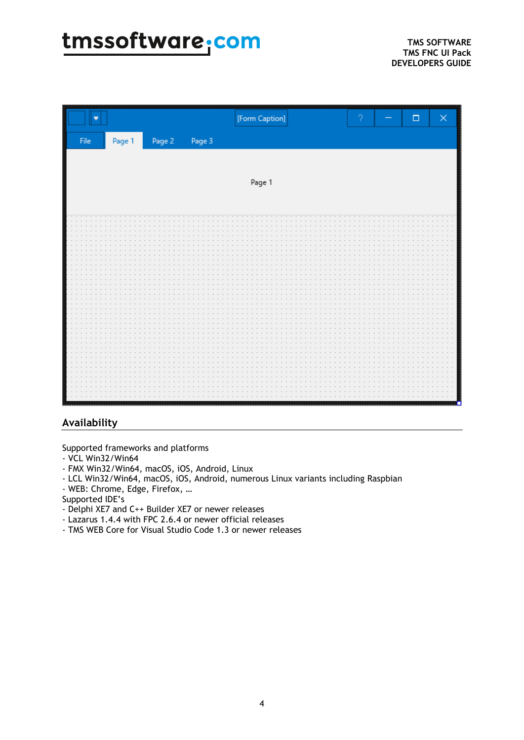|              |        |        |        | [Form Caption] | ? | $\Box$<br>$\times$ |
|--------------|--------|--------|--------|----------------|---|--------------------|
| ${\sf File}$ | Page 1 | Page 2 | Page 3 |                |   |                    |
|              |        |        |        |                |   |                    |
|              |        |        |        | Page 1         |   |                    |
|              |        |        |        |                |   |                    |
|              |        |        |        |                |   |                    |
|              |        |        |        |                |   |                    |
|              |        |        |        |                |   |                    |
|              |        |        |        |                |   |                    |
|              |        |        |        |                |   |                    |
|              |        |        |        |                |   |                    |
|              |        |        |        |                |   |                    |
|              |        |        |        |                |   |                    |
|              |        |        |        |                |   |                    |
|              |        |        |        |                |   |                    |
|              |        |        |        |                |   |                    |
|              |        |        |        |                |   |                    |
|              |        |        |        |                |   |                    |
|              |        |        |        |                |   |                    |

### <span id="page-3-0"></span>**Availability**

Supported frameworks and platforms

- VCL Win32/Win64
- FMX Win32/Win64, macOS, iOS, Android, Linux
- LCL Win32/Win64, macOS, iOS, Android, numerous Linux variants including Raspbian
- WEB: Chrome, Edge, Firefox, …
- Supported IDE's
- Delphi XE7 and C++ Builder XE7 or newer releases
- Lazarus 1.4.4 with FPC 2.6.4 or newer official releases
- TMS WEB Core for Visual Studio Code 1.3 or newer releases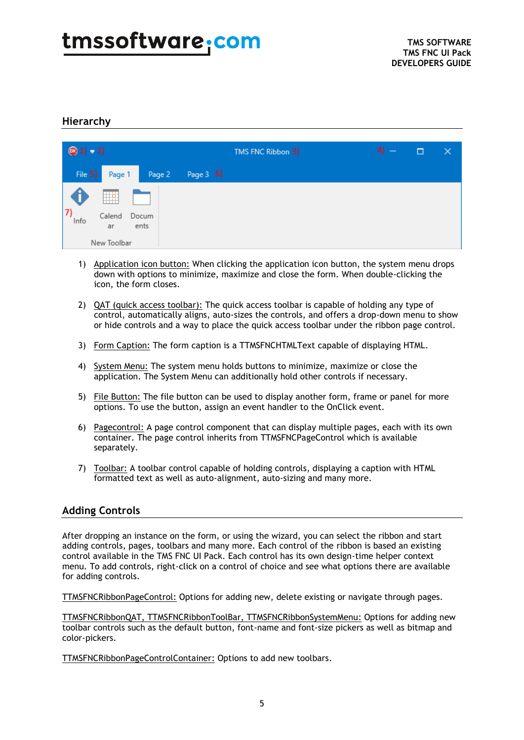### <span id="page-4-0"></span>**Hierarchy**

| $\circledcirc$ 1) – 2) |              |               |             | TMS FNC Ribbon 3) | $4) -$ | □ | $\times$ |
|------------------------|--------------|---------------|-------------|-------------------|--------|---|----------|
| File 5)                | Page 1       | Page 2        | Page $3\,6$ |                   |        |   |          |
|                        | ₩            |               |             |                   |        |   |          |
| $\mathbf{7}$<br>Info   | Calend<br>ar | Docum<br>ents |             |                   |        |   |          |
|                        | New Toolbar  |               |             |                   |        |   |          |

- 1) Application icon button: When clicking the application icon button, the system menu drops down with options to minimize, maximize and close the form. When double-clicking the icon, the form closes.
- 2) QAT (quick access toolbar): The quick access toolbar is capable of holding any type of control, automatically aligns, auto-sizes the controls, and offers a drop-down menu to show or hide controls and a way to place the quick access toolbar under the ribbon page control.
- 3) Form Caption: The form caption is a TTMSFNCHTMLText capable of displaying HTML.
- 4) System Menu: The system menu holds buttons to minimize, maximize or close the application. The System Menu can additionally hold other controls if necessary.
- 5) File Button: The file button can be used to display another form, frame or panel for more options. To use the button, assign an event handler to the OnClick event.
- 6) Pagecontrol: A page control component that can display multiple pages, each with its own container. The page control inherits from TTMSFNCPageControl which is available separately.
- 7) Toolbar: A toolbar control capable of holding controls, displaying a caption with HTML formatted text as well as auto-alignment, auto-sizing and many more.

#### <span id="page-4-1"></span>**Adding Controls**

After dropping an instance on the form, or using the wizard, you can select the ribbon and start adding controls, pages, toolbars and many more. Each control of the ribbon is based an existing control available in the TMS FNC UI Pack. Each control has its own design-time helper context menu. To add controls, right-click on a control of choice and see what options there are available for adding controls.

TTMSFNCRibbonPageControl: Options for adding new, delete existing or navigate through pages.

TTMSFNCRibbonQAT, TTMSFNCRibbonToolBar, TTMSFNCRibbonSystemMenu: Options for adding new toolbar controls such as the default button, font-name and font-size pickers as well as bitmap and color-pickers.

TTMSFNCRibbonPageControlContainer: Options to add new toolbars.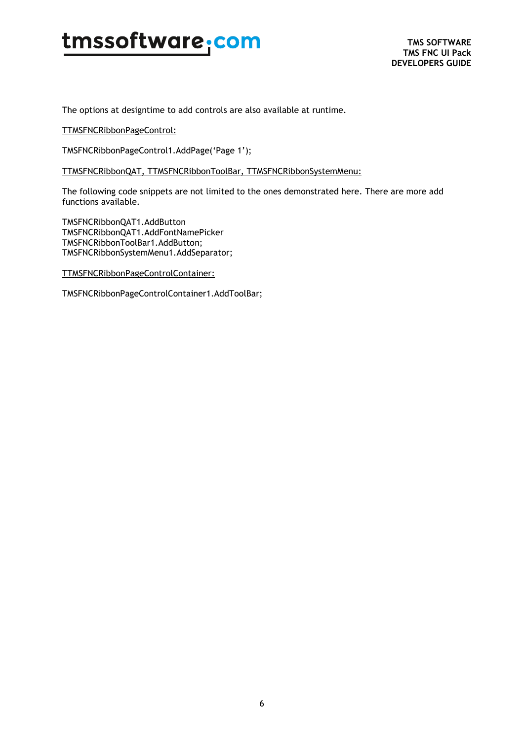The options at designtime to add controls are also available at runtime.

TTMSFNCRibbonPageControl:

TMSFNCRibbonPageControl1.AddPage('Page 1');

TTMSFNCRibbonQAT, TTMSFNCRibbonToolBar, TTMSFNCRibbonSystemMenu:

The following code snippets are not limited to the ones demonstrated here. There are more add functions available.

TMSFNCRibbonQAT1.AddButton TMSFNCRibbonQAT1.AddFontNamePicker TMSFNCRibbonToolBar1.AddButton; TMSFNCRibbonSystemMenu1.AddSeparator;

TTMSFNCRibbonPageControlContainer:

TMSFNCRibbonPageControlContainer1.AddToolBar;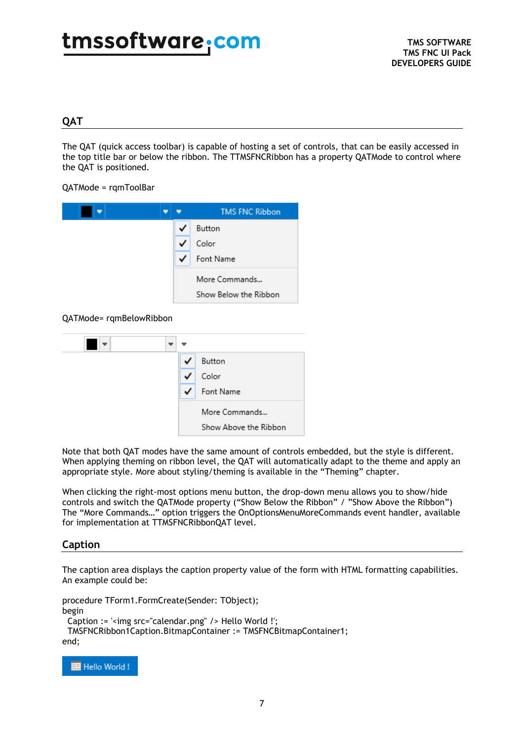### <span id="page-6-0"></span>**QAT**

The QAT (quick access toolbar) is capable of hosting a set of controls, that can be easily accessed in the top title bar or below the ribbon. The TTMSFNCRibbon has a property QATMode to control where the QAT is positioned.

QATMode = rqmToolBar



#### QATMode= rqmBelowRibbon

| ✓ | Button                |
|---|-----------------------|
| ✓ | Color                 |
| ✓ | Font Name             |
|   | More Commands         |
|   | Show Above the Ribbon |

Note that both QAT modes have the same amount of controls embedded, but the style is different. When applying theming on ribbon level, the QAT will automatically adapt to the theme and apply an appropriate style. More about styling/theming is available in the "Theming" chapter.

When clicking the right-most options menu button, the drop-down menu allows you to show/hide controls and switch the QATMode property ("Show Below the Ribbon" / "Show Above the Ribbon") The "More Commands…" option triggers the OnOptionsMenuMoreCommands event handler, available for implementation at TTMSFNCRibbonQAT level.

#### <span id="page-6-1"></span>**Caption**

The caption area displays the caption property value of the form with HTML formatting capabilities. An example could be:

procedure TForm1.FormCreate(Sender: TObject); begin Caption := '<img src="calendar.png" /> Hello World !'; TMSFNCRibbon1Caption.BitmapContainer := TMSFNCBitmapContainer1; end;

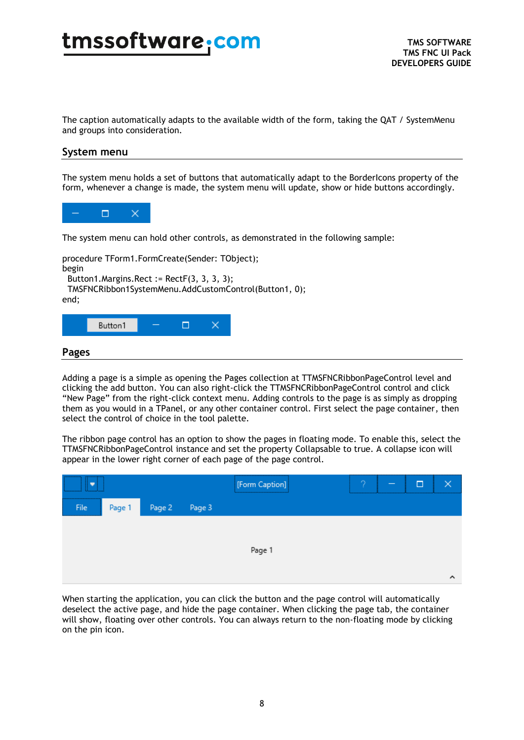The caption automatically adapts to the available width of the form, taking the QAT / SystemMenu and groups into consideration.

#### <span id="page-7-0"></span>**System menu**

The system menu holds a set of buttons that automatically adapt to the BorderIcons property of the form, whenever a change is made, the system menu will update, show or hide buttons accordingly.



The system menu can hold other controls, as demonstrated in the following sample:

procedure TForm1.FormCreate(Sender: TObject); begin

Button1. Margins. Rect :=  $RectF(3, 3, 3, 3)$ ;

TMSFNCRibbon1SystemMenu.AddCustomControl(Button1, 0);

end;

<span id="page-7-1"></span>

Adding a page is a simple as opening the Pages collection at TTMSFNCRibbonPageControl level and clicking the add button. You can also right-click the TTMSFNCRibbonPageControl control and click "New Page" from the right-click context menu. Adding controls to the page is as simply as dropping them as you would in a TPanel, or any other container control. First select the page container, then select the control of choice in the tool palette.

The ribbon page control has an option to show the pages in floating mode. To enable this, select the TTMSFNCRibbonPageControl instance and set the property Collapsable to true. A collapse icon will appear in the lower right corner of each page of the page control.

| --------------<br><br>Ammunical Ahmadini  |        |               | [Form Caption] |  | □ |   |
|-------------------------------------------|--------|---------------|----------------|--|---|---|
| <br><b>File</b><br>********************** | Page 1 | Page 2 Page 3 |                |  |   |   |
|                                           |        |               |                |  |   |   |
|                                           |        |               | Page 1         |  |   |   |
|                                           |        |               |                |  |   | ́ |

When starting the application, you can click the button and the page control will automatically deselect the active page, and hide the page container. When clicking the page tab, the container will show, floating over other controls. You can always return to the non-floating mode by clicking on the pin icon.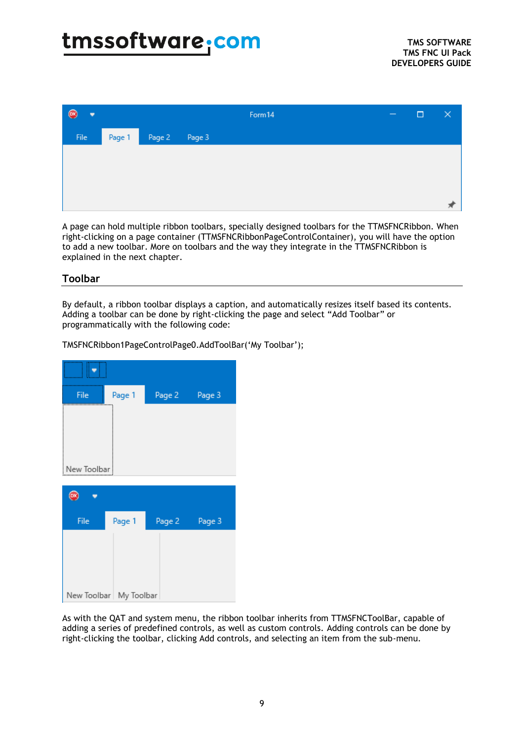| $\circledcirc$<br>$\overline{\phantom{a}}$ |        |        |        | Form14 | $\hspace{0.1mm}-\hspace{0.1mm}$ | □ | × |
|--------------------------------------------|--------|--------|--------|--------|---------------------------------|---|---|
| File                                       | Page 1 | Page 2 | Page 3 |        |                                 |   |   |
|                                            |        |        |        |        |                                 |   |   |
|                                            |        |        |        |        |                                 |   |   |
|                                            |        |        |        |        |                                 |   |   |
|                                            |        |        |        |        |                                 |   |   |

A page can hold multiple ribbon toolbars, specially designed toolbars for the TTMSFNCRibbon. When right-clicking on a page container (TTMSFNCRibbonPageControlContainer), you will have the option to add a new toolbar. More on toolbars and the way they integrate in the TTMSFNCRibbon is explained in the next chapter.

#### <span id="page-8-0"></span>**Toolbar**

By default, a ribbon toolbar displays a caption, and automatically resizes itself based its contents. Adding a toolbar can be done by right-clicking the page and select "Add Toolbar" or programmatically with the following code:

٠ File Page 1 Page 2 Page 3 New Toolbar  $\circledR$ ÷ Page 1 File Page 2 Page 3 New Toolbar | My Toolbar

TMSFNCRibbon1PageControlPage0.AddToolBar('My Toolbar');

As with the QAT and system menu, the ribbon toolbar inherits from TTMSFNCToolBar, capable of adding a series of predefined controls, as well as custom controls. Adding controls can be done by right-clicking the toolbar, clicking Add controls, and selecting an item from the sub-menu.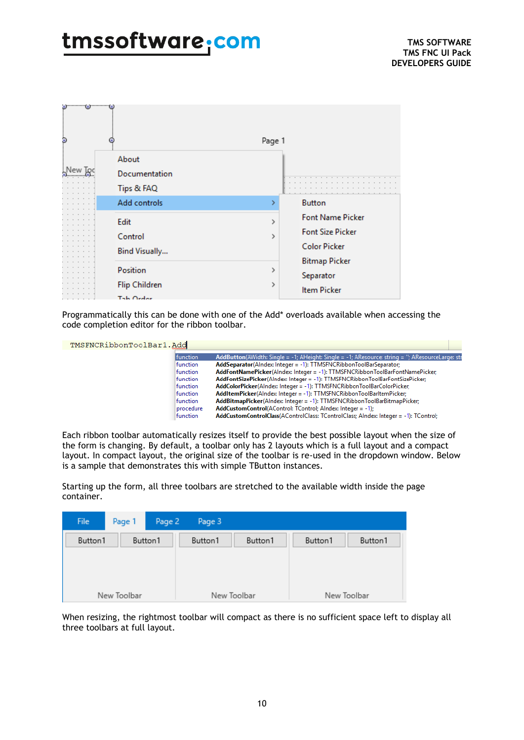| $\bullet$ $\bullet$ $\bullet$ $\bullet$ $\bullet$ $\bullet$ $\bullet$<br>þ | About<br>Documentation                         | Page 1                                                                              |  |
|----------------------------------------------------------------------------|------------------------------------------------|-------------------------------------------------------------------------------------|--|
|                                                                            | Tips & FAQ                                     |                                                                                     |  |
|                                                                            | Add controls                                   | <b>Button</b>                                                                       |  |
|                                                                            | Edit<br>Control<br>Bind Visually               | <b>Font Name Picker</b><br>><br><b>Font Size Picker</b><br>3<br><b>Color Picker</b> |  |
|                                                                            | Position<br><b>Flip Children</b><br>Tala Order | <b>Bitmap Picker</b><br>><br>Separator<br>≯<br><b>Item Picker</b>                   |  |

Programmatically this can be done with one of the Add\* overloads available when accessing the code completion editor for the ribbon toolbar.

TMSFNCRibbonToolBar1.Add

| AddButton(AWidth: Single = -1; AHeight: Single = -1; AResource: string = "; AResourceLarge: str |
|-------------------------------------------------------------------------------------------------|
| AddSeparator(AIndex: Integer = -1): TTMSFNCRibbonToolBarSeparator;                              |
| AddFontNamePicker(AIndex: Integer = -1): TTMSFNCRibbonToolBarFontNamePicker;                    |
| AddFontSizePicker(Alndex: Integer = -1): TTMSFNCRibbonToolBarFontSizePicker;                    |
| AddColorPicker(AIndex: Integer = -1): TTMSFNCRibbonToolBarColorPicker;                          |
| AddItemPicker(AIndex: Integer = -1): TTMSFNCRibbonToolBarItemPicker;                            |
| AddBitmapPicker(AIndex: Integer = -1): TTMSFNCRibbonToolBarBitmapPicker;                        |
| <b>AddCustomControl</b> (AControl: TControl: Alndex: Integer = -1);                             |
| AddCustomControlClass(AControlClass: TControlClass; AIndex: Integer = -1): TControl;            |
|                                                                                                 |

Each ribbon toolbar automatically resizes itself to provide the best possible layout when the size of the form is changing. By default, a toolbar only has 2 layouts which is a full layout and a compact layout. In compact layout, the original size of the toolbar is re-used in the dropdown window. Below is a sample that demonstrates this with simple TButton instances.

Starting up the form, all three toolbars are stretched to the available width inside the page container.

| File        | Page 1 | Page 2  | Page 3  |             |             |         |  |
|-------------|--------|---------|---------|-------------|-------------|---------|--|
| Button1     |        | Button1 | Button1 | Button1     | Button1     | Button1 |  |
| New Toolbar |        |         |         | New Toolbar | New Toolbar |         |  |

When resizing, the rightmost toolbar will compact as there is no sufficient space left to display all three toolbars at full layout.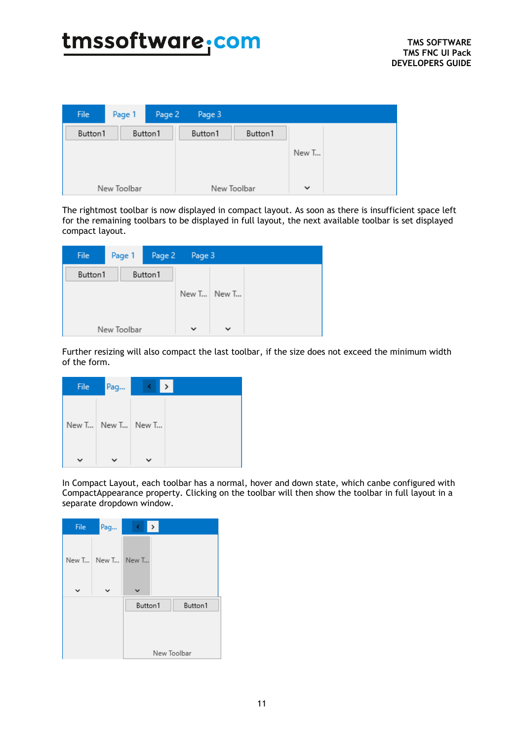| File        | Page 1 | Page 2  | Page 3  |             |              |  |
|-------------|--------|---------|---------|-------------|--------------|--|
| Button1     |        | Button1 | Button1 | Button1     |              |  |
|             |        |         |         |             | New T        |  |
|             |        |         |         |             |              |  |
| New Toolbar |        |         |         | New Toolbar | $\checkmark$ |  |

The rightmost toolbar is now displayed in compact layout. As soon as there is insufficient space left for the remaining toolbars to be displayed in full layout, the next available toolbar is set displayed compact layout.

| <b>File</b> | Page 1 | Page 2  | Page 3       |              |  |
|-------------|--------|---------|--------------|--------------|--|
| Button1     |        | Button1 |              |              |  |
|             |        |         |              | New T New T  |  |
|             |        |         |              |              |  |
| New Toolbar |        |         | $\checkmark$ | $\checkmark$ |  |

Further resizing will also compact the last toolbar, if the size does not exceed the minimum width of the form.

| File | Pag                   | $\rightarrow$<br>٢ |
|------|-----------------------|--------------------|
|      | New T   New T   New T |                    |
|      |                       |                    |

In Compact Layout, each toolbar has a normal, hover and down state, which canbe configured with CompactAppearance property. Clicking on the toolbar will then show the toolbar in full layout in a separate dropdown window.

| File | Pag               | $\rightarrow$<br>$\leq$ |             |
|------|-------------------|-------------------------|-------------|
|      | New T New T New T |                         |             |
|      |                   | Button1                 | Button1     |
|      |                   |                         |             |
|      |                   |                         | New Toolbar |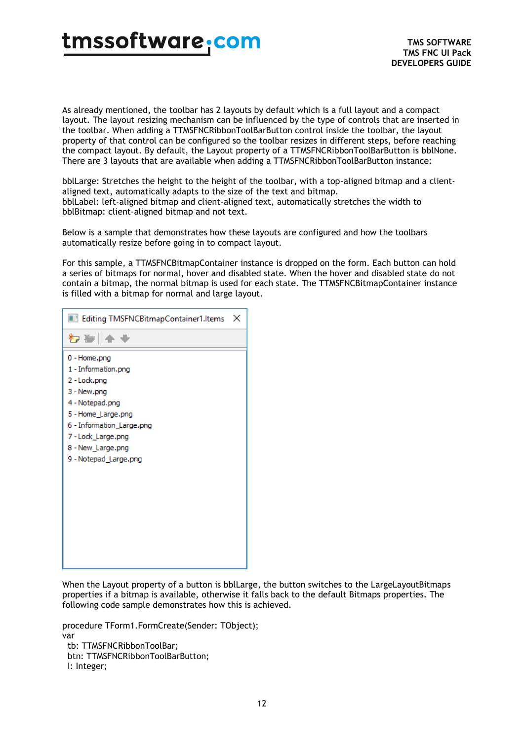As already mentioned, the toolbar has 2 layouts by default which is a full layout and a compact layout. The layout resizing mechanism can be influenced by the type of controls that are inserted in the toolbar. When adding a TTMSFNCRibbonToolBarButton control inside the toolbar, the layout property of that control can be configured so the toolbar resizes in different steps, before reaching the compact layout. By default, the Layout property of a TTMSFNCRibbonToolBarButton is bblNone. There are 3 layouts that are available when adding a TTMSFNCRibbonToolBarButton instance:

bblLarge: Stretches the height to the height of the toolbar, with a top-aligned bitmap and a clientaligned text, automatically adapts to the size of the text and bitmap. bblLabel: left-aligned bitmap and client-aligned text, automatically stretches the width to bblBitmap: client-aligned bitmap and not text.

Below is a sample that demonstrates how these layouts are configured and how the toolbars automatically resize before going in to compact layout.

For this sample, a TTMSFNCBitmapContainer instance is dropped on the form. Each button can hold a series of bitmaps for normal, hover and disabled state. When the hover and disabled state do not contain a bitmap, the normal bitmap is used for each state. The TTMSFNCBitmapContainer instance is filled with a bitmap for normal and large layout.

| Editing TMSFNCBitmapContainer1.Items                                                                                                                                                                       | × |
|------------------------------------------------------------------------------------------------------------------------------------------------------------------------------------------------------------|---|
| わぬ│全◆                                                                                                                                                                                                      |   |
| 0 - Home.png<br>1 - Information.png<br>2 - Lock.png<br>3 - New.png<br>4 - Notepad.png<br>5 - Home_Large.png<br>6 - Information_Large.png<br>7-Lock_Large.png<br>8 - New_Large.png<br>9 - Notepad_Large.png |   |
|                                                                                                                                                                                                            |   |

When the Layout property of a button is bblLarge, the button switches to the LargeLayoutBitmaps properties if a bitmap is available, otherwise it falls back to the default Bitmaps properties. The following code sample demonstrates how this is achieved.

procedure TForm1.FormCreate(Sender: TObject); var tb: TTMSFNCRibbonToolBar; btn: TTMSFNCRibbonToolBarButton; I: Integer;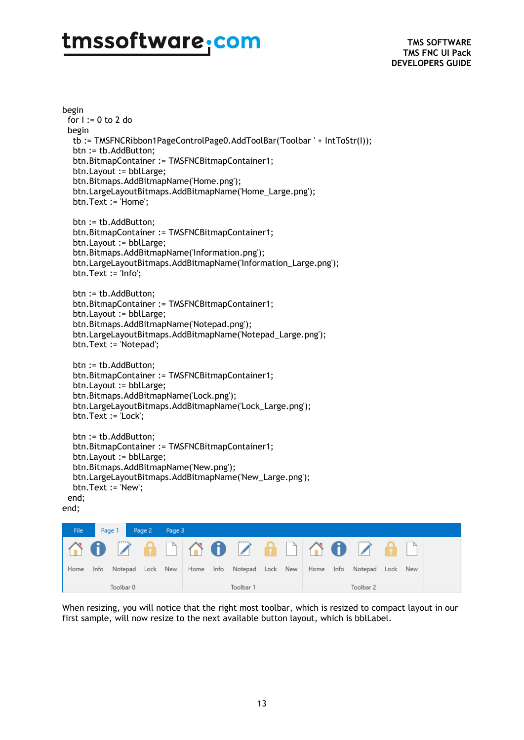**TMS SOFTWARE TMS FNC UI Pack DEVELOPERS GUIDE**

begin for I := 0 to 2 do begin tb := TMSFNCRibbon1PageControlPage0.AddToolBar('Toolbar ' + IntToStr(I)); btn := tb.AddButton; btn.BitmapContainer := TMSFNCBitmapContainer1; btn.Layout := bblLarge; btn.Bitmaps.AddBitmapName('Home.png'); btn.LargeLayoutBitmaps.AddBitmapName('Home\_Large.png'); btn.Text := 'Home'; btn := tb.AddButton; btn.BitmapContainer := TMSFNCBitmapContainer1; btn.Layout := bblLarge; btn.Bitmaps.AddBitmapName('Information.png'); btn.LargeLayoutBitmaps.AddBitmapName('Information\_Large.png'); btn.Text := 'Info'; btn := tb.AddButton; btn.BitmapContainer := TMSFNCBitmapContainer1; btn.Layout := bblLarge; btn.Bitmaps.AddBitmapName('Notepad.png'); btn.LargeLayoutBitmaps.AddBitmapName('Notepad\_Large.png'); btn.Text := 'Notepad'; btn := tb.AddButton; btn.BitmapContainer := TMSFNCBitmapContainer1; btn.Layout := bblLarge; btn.Bitmaps.AddBitmapName('Lock.png'); btn.LargeLayoutBitmaps.AddBitmapName('Lock\_Large.png'); btn.Text := 'Lock'; btn := tb.AddButton; btn.BitmapContainer := TMSFNCBitmapContainer1; btn.Layout := bblLarge; btn.Bitmaps.AddBitmapName('New.png'); btn.LargeLayoutBitmaps.AddBitmapName('New\_Large.png'); btn.Text := 'New'; end; end;



When resizing, you will notice that the right most toolbar, which is resized to compact layout in our first sample, will now resize to the next available button layout, which is bblLabel.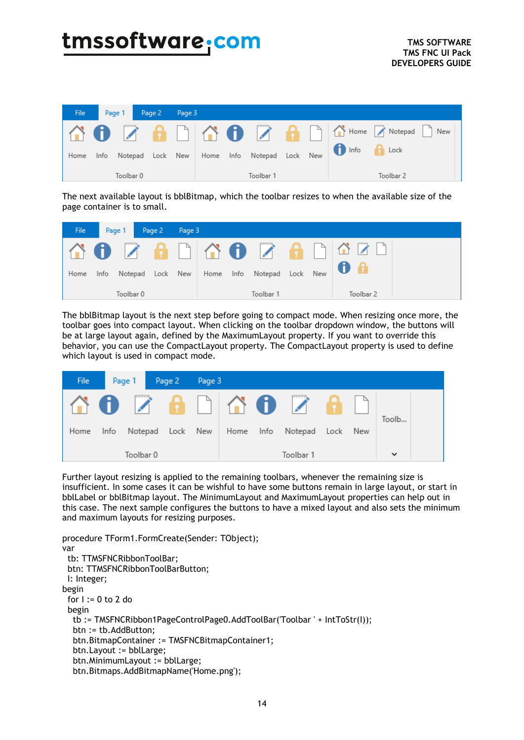| File |      | Page 1   Page 2   Page 3 |  |  |           |  |                                                     |                |
|------|------|--------------------------|--|--|-----------|--|-----------------------------------------------------|----------------|
|      |      |                          |  |  |           |  |                                                     |                |
| Home | Info |                          |  |  |           |  | Notepad Lock New Home Info Notepad Lock New 10 Info | $\bigcap$ Lock |
|      |      | Toolbar 0                |  |  | Toolbar 1 |  |                                                     | Toolbar 2      |

The next available layout is bblBitmap, which the toolbar resizes to when the available size of the page container is to small.



The bblBitmap layout is the next step before going to compact mode. When resizing once more, the toolbar goes into compact layout. When clicking on the toolbar dropdown window, the buttons will be at large layout again, defined by the MaximumLayout property. If you want to override this behavior, you can use the CompactLayout property. The CompactLayout property is used to define which layout is used in compact mode.

| File |      | Page 1    | Page 2 | Page 3 |      |      |               |      |     |              |  |
|------|------|-----------|--------|--------|------|------|---------------|------|-----|--------------|--|
|      |      |           |        |        |      |      | MO ZADIMO ZAD |      |     | Toolb        |  |
| Home | Info | Notepad   | Lock   | New    | Home | Info | Notepad       | Lock | New |              |  |
|      |      | Toolbar 0 |        |        |      |      | Toolbar 1     |      |     | $\checkmark$ |  |

Further layout resizing is applied to the remaining toolbars, whenever the remaining size is insufficient. In some cases it can be wishful to have some buttons remain in large layout, or start in bblLabel or bblBitmap layout. The MinimumLayout and MaximumLayout properties can help out in this case. The next sample configures the buttons to have a mixed layout and also sets the minimum and maximum layouts for resizing purposes.

```
procedure TForm1.FormCreate(Sender: TObject);
var
  tb: TTMSFNCRibbonToolBar;
  btn: TTMSFNCRibbonToolBarButton;
  I: Integer;
begin
  for I := 0 to 2 do
  begin
   tb := TMSFNCRibbon1PageControlPage0.AddToolBar('Toolbar ' + IntToStr(I));
   btn := tb.AddButton;
   btn.BitmapContainer := TMSFNCBitmapContainer1;
   btn.Layout := bblLarge;
   btn.MinimumLayout := bblLarge;
   btn.Bitmaps.AddBitmapName('Home.png');
```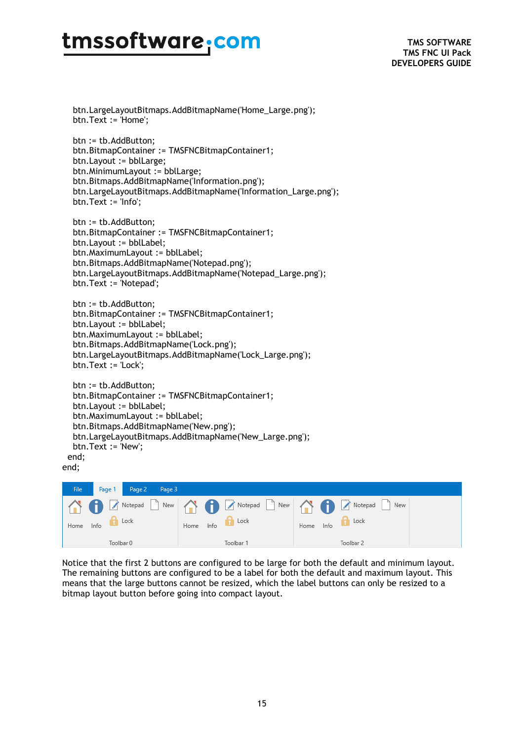btn.LargeLayoutBitmaps.AddBitmapName('Home\_Large.png'); btn.Text := 'Home';

 btn := tb.AddButton; btn.BitmapContainer := TMSFNCBitmapContainer1; btn.Layout := bblLarge; btn.MinimumLayout := bblLarge; btn.Bitmaps.AddBitmapName('Information.png'); btn.LargeLayoutBitmaps.AddBitmapName('Information\_Large.png'); btn.Text := 'Info';

 btn := tb.AddButton; btn.BitmapContainer := TMSFNCBitmapContainer1; btn.Layout := bblLabel; btn.MaximumLayout := bblLabel; btn.Bitmaps.AddBitmapName('Notepad.png'); btn.LargeLayoutBitmaps.AddBitmapName('Notepad\_Large.png'); btn.Text := 'Notepad';

```
 btn := tb.AddButton;
 btn.BitmapContainer := TMSFNCBitmapContainer1;
 btn.Layout := bblLabel;
 btn.MaximumLayout := bblLabel;
 btn.Bitmaps.AddBitmapName('Lock.png');
 btn.LargeLayoutBitmaps.AddBitmapName('Lock_Large.png');
 btn.Text := 'Lock';
```

```
 btn := tb.AddButton;
  btn.BitmapContainer := TMSFNCBitmapContainer1;
  btn.Layout := bblLabel;
  btn.MaximumLayout := bblLabel;
  btn.Bitmaps.AddBitmapName('New.png');
  btn.LargeLayoutBitmaps.AddBitmapName('New_Large.png');
  btn.Text := 'New';
 end;
```
end;

| File | Page 1 | Page 2 Page 3 |      |      |           |      |      |                                                                                        |  |
|------|--------|---------------|------|------|-----------|------|------|----------------------------------------------------------------------------------------|--|
|      |        |               |      |      |           |      |      | R O Z Notepad D New A C Z Notepad D New A C Z Notepad L<br>$\parallel$ $\parallel$ New |  |
| Home | Info   | Lock          | Home | Info | Lock      | Home | Info | Lock                                                                                   |  |
|      |        | Toolbar 0     |      |      | Toolbar 1 |      |      | Toolbar 2                                                                              |  |

Notice that the first 2 buttons are configured to be large for both the default and minimum layout. The remaining buttons are configured to be a label for both the default and maximum layout. This means that the large buttons cannot be resized, which the label buttons can only be resized to a bitmap layout button before going into compact layout.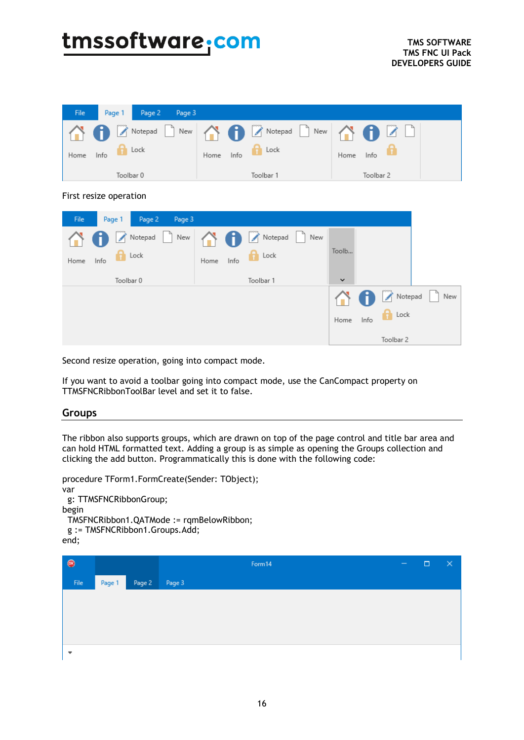| A A Z Notepad D New A A Z Notepad D New A A B Z D                                                            |  |
|--------------------------------------------------------------------------------------------------------------|--|
|                                                                                                              |  |
| $\mathbf{H}$ Lock<br>the Lock<br>Home<br>Home<br>Info<br>Info<br>Home<br>Toolbar 0<br>Toolbar 1<br>Toolbar 2 |  |

#### First resize operation

| Page 2<br>File<br>Page 1<br>Page 3 |                                 |                             |     |
|------------------------------------|---------------------------------|-----------------------------|-----|
| Notepad New<br>Æ                   | <b>O</b> Z Notepad<br>I٦<br>New |                             |     |
| tock<br>Info<br>Home               | $\bigcap$ Lock<br>Home<br>Info  | Toolb                       |     |
| Toolbar 0                          | Toolbar 1                       | $\checkmark$                |     |
|                                    |                                 | $\sum$ Notepad<br>H         | New |
|                                    |                                 | $\Box$ Lock<br>Home<br>Info |     |
|                                    |                                 | Toolbar 2                   |     |

Second resize operation, going into compact mode.

If you want to avoid a toolbar going into compact mode, use the CanCompact property on TTMSFNCRibbonToolBar level and set it to false.

#### <span id="page-15-0"></span>**Groups**

The ribbon also supports groups, which are drawn on top of the page control and title bar area and can hold HTML formatted text. Adding a group is as simple as opening the Groups collection and clicking the add button. Programmatically this is done with the following code:

```
procedure TForm1.FormCreate(Sender: TObject);
var
  g: TTMSFNCRibbonGroup;
begin
  TMSFNCRibbon1.QATMode := rqmBelowRibbon;
  g := TMSFNCRibbon1.Groups.Add;
end;^{\circ}Form14
                                                                                             \Box\timesFile
          Page 1
                  Page 2
                           Page 3
```

```
\bar{\mathbf{v}}
```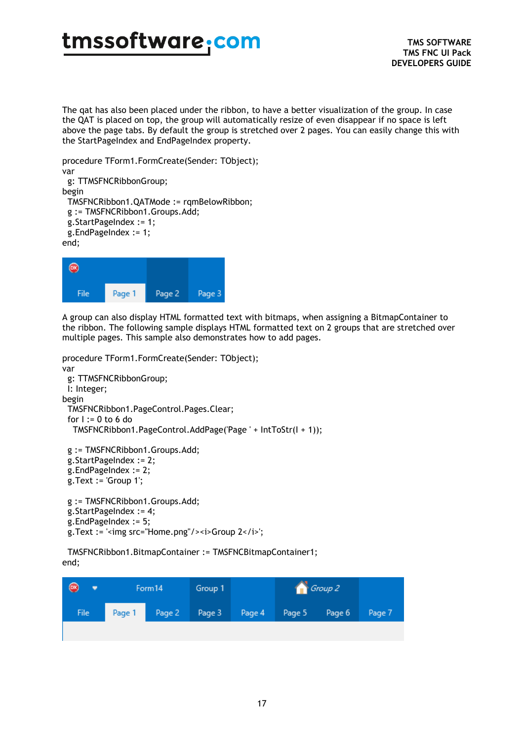The qat has also been placed under the ribbon, to have a better visualization of the group. In case the QAT is placed on top, the group will automatically resize of even disappear if no space is left above the page tabs. By default the group is stretched over 2 pages. You can easily change this with the StartPageIndex and EndPageIndex property.

```
procedure TForm1.FormCreate(Sender: TObject);
var
  g: TTMSFNCRibbonGroup;
begin
  TMSFNCRibbon1.QATMode := rqmBelowRibbon;
  g := TMSFNCRibbon1.Groups.Add;
  g.StartPageIndex := 1;
  g.EndPageIndex := 1;
end;
```

```
\circledcircFile
                Page 1
                                Page 2
                                                Page 3
```
A group can also display HTML formatted text with bitmaps, when assigning a BitmapContainer to the ribbon. The following sample displays HTML formatted text on 2 groups that are stretched over multiple pages. This sample also demonstrates how to add pages.

```
procedure TForm1.FormCreate(Sender: TObject);
var
  g: TTMSFNCRibbonGroup;
  I: Integer;
begin
  TMSFNCRibbon1.PageControl.Pages.Clear;
 for I := 0 to 6 do
   TMSFNCRibbon1.PageControl.AddPage('Page ' + IntToStr(I + 1));
  g := TMSFNCRibbon1.Groups.Add;
  g.StartPageIndex := 2;
  g.EndPageIndex := 2;
  g.Text := 'Group 1';
  g := TMSFNCRibbon1.Groups.Add;
  g.StartPageIndex := 4;
  g.EndPageIndex := 5;
```

```
g.Text := '<img src="Home.png"/><i>Group 2</i>';
```
 TMSFNCRibbon1.BitmapContainer := TMSFNCBitmapContainer1; end;

| Page 2 Page 3 Page 4 Page 5 Page 6<br>Page 1<br>File | $\bullet$ | Form14 | Group 1 |  | Group 2 |        |
|------------------------------------------------------|-----------|--------|---------|--|---------|--------|
|                                                      |           |        |         |  |         | Page 7 |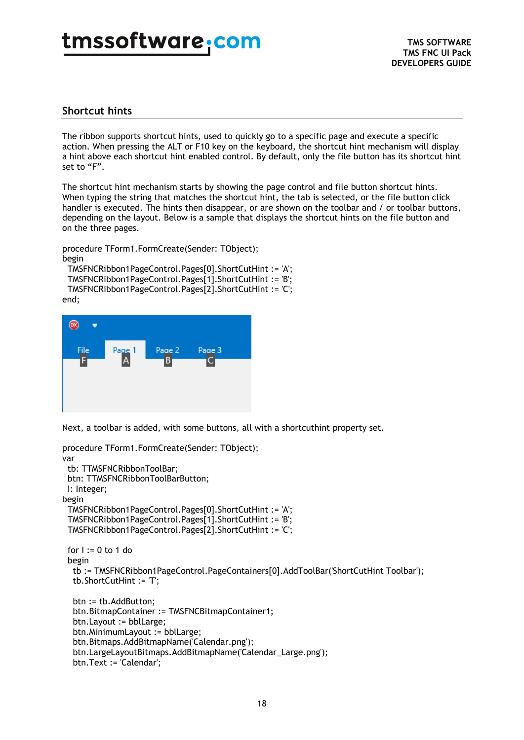### <span id="page-17-0"></span>**Shortcut hints**

The ribbon supports shortcut hints, used to quickly go to a specific page and execute a specific action. When pressing the ALT or F10 key on the keyboard, the shortcut hint mechanism will display a hint above each shortcut hint enabled control. By default, only the file button has its shortcut hint set to "F".

The shortcut hint mechanism starts by showing the page control and file button shortcut hints. When typing the string that matches the shortcut hint, the tab is selected, or the file button click handler is executed. The hints then disappear, or are shown on the toolbar and / or toolbar buttons, depending on the layout. Below is a sample that displays the shortcut hints on the file button and on the three pages.

procedure TForm1.FormCreate(Sender: TObject); begin

TMSFNCRibbon1PageControl.Pages[0].ShortCutHint := 'A';

 TMSFNCRibbon1PageControl.Pages[1].ShortCutHint := 'B'; TMSFNCRibbon1PageControl.Pages[2].ShortCutHint := 'C'; end;



Next, a toolbar is added, with some buttons, all with a shortcuthint property set.

```
procedure TForm1.FormCreate(Sender: TObject);
var
  tb: TTMSFNCRibbonToolBar;
  btn: TTMSFNCRibbonToolBarButton;
  I: Integer;
begin
  TMSFNCRibbon1PageControl.Pages[0].ShortCutHint := 'A';
  TMSFNCRibbon1PageControl.Pages[1].ShortCutHint := 'B';
  TMSFNCRibbon1PageControl.Pages[2].ShortCutHint := 'C';
 for I := 0 to 1 do
  begin
   tb := TMSFNCRibbon1PageControl.PageContainers[0].AddToolBar('ShortCutHint Toolbar');
   tb.ShortCutHint := 'T';
   btn := tb.AddButton;
   btn.BitmapContainer := TMSFNCBitmapContainer1;
   btn.Layout := bblLarge;
   btn.MinimumLayout := bblLarge;
   btn.Bitmaps.AddBitmapName('Calendar.png');
   btn.LargeLayoutBitmaps.AddBitmapName('Calendar_Large.png');
   btn.Text := 'Calendar';
```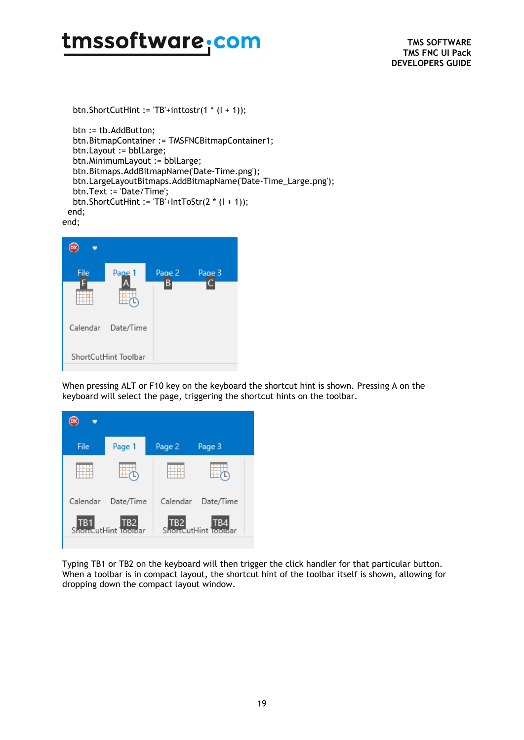btn.ShortCutHint := 'TB'+inttostr(1 \* (I + 1));

```
 btn := tb.AddButton;
   btn.BitmapContainer := TMSFNCBitmapContainer1;
   btn.Layout := bblLarge;
   btn.MinimumLayout := bblLarge;
   btn.Bitmaps.AddBitmapName('Date-Time.png');
   btn.LargeLayoutBitmaps.AddBitmapName('Date-Time_Large.png');
   btn.Text := 'Date/Time';
   btn.ShortCutHint := 'TB'+IntToStr(2 * (I + 1));
  end;
end;
```

| File | Page 1               | Page 2<br>В | Page 3 |
|------|----------------------|-------------|--------|
|      |                      |             |        |
|      | Calendar Date/Time   |             |        |
|      | ShortCutHint Toolbar |             |        |

When pressing ALT or F10 key on the keyboard the shortcut hint is shown. Pressing A on the keyboard will select the page, triggering the shortcut hints on the toolbar.



Typing TB1 or TB2 on the keyboard will then trigger the click handler for that particular button. When a toolbar is in compact layout, the shortcut hint of the toolbar itself is shown, allowing for dropping down the compact layout window.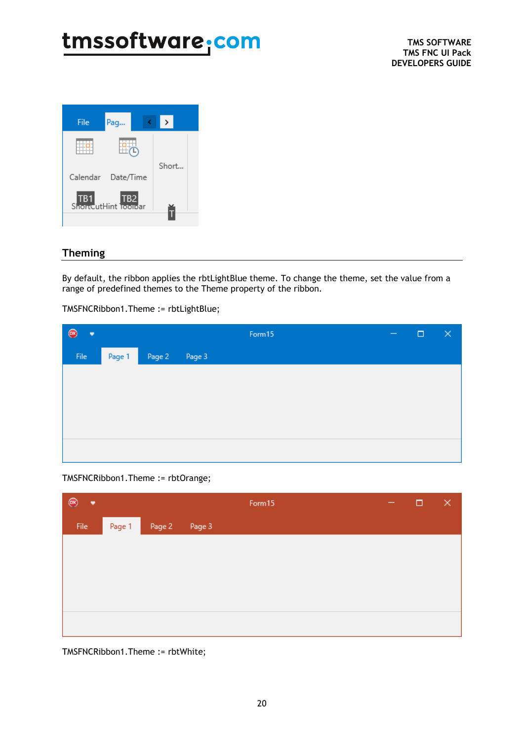

### <span id="page-19-0"></span>**Theming**

By default, the ribbon applies the rbtLightBlue theme. To change the theme, set the value from a range of predefined themes to the Theme property of the ribbon.

TMSFNCRibbon1.Theme := rbtLightBlue;

| ٠    |        |        |        | Form15 | $\qquad \qquad -$ | $\Box$ | $\times$ |
|------|--------|--------|--------|--------|-------------------|--------|----------|
| File | Page 1 | Page 2 | Page 3 |        |                   |        |          |
|      |        |        |        |        |                   |        |          |
|      |        |        |        |        |                   |        |          |
|      |        |        |        |        |                   |        |          |
|      |        |        |        |        |                   |        |          |
|      |        |        |        |        |                   |        |          |

TMSFNCRibbon1.Theme := rbtOrange;

| $^{\circledR}$<br>٠ |        |               | Form15 | - | $\Box$ | $\times$ |
|---------------------|--------|---------------|--------|---|--------|----------|
| File                | Page 1 | Page 2 Page 3 |        |   |        |          |
|                     |        |               |        |   |        |          |
|                     |        |               |        |   |        |          |
|                     |        |               |        |   |        |          |
|                     |        |               |        |   |        |          |
|                     |        |               |        |   |        |          |

TMSFNCRibbon1.Theme := rbtWhite;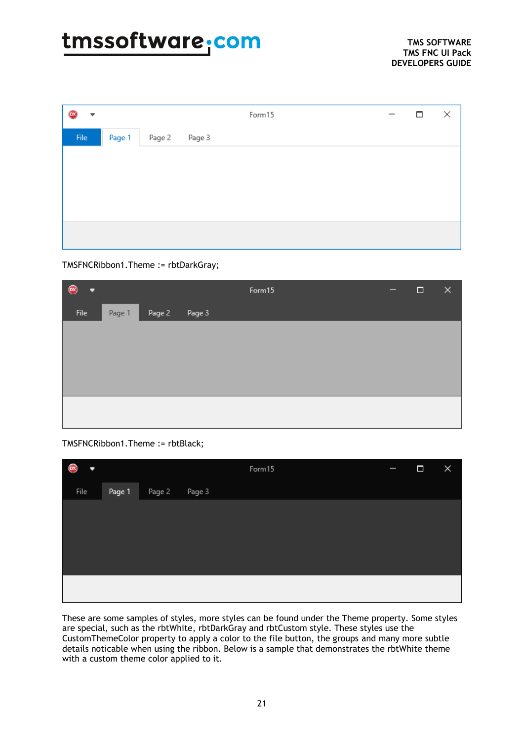| ľв»<br>▼     |        |               | Form15 |  | $\Box$ | × |
|--------------|--------|---------------|--------|--|--------|---|
| ${\sf File}$ | Page 1 | Page 2 Page 3 |        |  |        |   |
|              |        |               |        |  |        |   |
|              |        |               |        |  |        |   |
|              |        |               |        |  |        |   |
|              |        |               |        |  |        |   |
|              |        |               |        |  |        |   |

#### TMSFNCRibbon1.Theme := rbtDarkGray;

| ۰            |        |        |        | Form15 | - | $\Box$ | × |
|--------------|--------|--------|--------|--------|---|--------|---|
| ${\sf File}$ | Page 1 | Page 2 | Page 3 |        |   |        |   |
|              |        |        |        |        |   |        |   |
|              |        |        |        |        |   |        |   |
|              |        |        |        |        |   |        |   |
|              |        |        |        |        |   |        |   |
|              |        |        |        |        |   |        |   |

#### TMSFNCRibbon1.Theme := rbtBlack;

| Q<br>ı |        |        |        | Form15 | ľ | $\Box$ | × |
|--------|--------|--------|--------|--------|---|--------|---|
| File   | Page 1 | Page 2 | Page 3 |        |   |        |   |
|        |        |        |        |        |   |        |   |
|        |        |        |        |        |   |        |   |
|        |        |        |        |        |   |        |   |
|        |        |        |        |        |   |        |   |
|        |        |        |        |        |   |        |   |
|        |        |        |        |        |   |        |   |

These are some samples of styles, more styles can be found under the Theme property. Some styles are special, such as the rbtWhite, rbtDarkGray and rbtCustom style. These styles use the CustomThemeColor property to apply a color to the file button, the groups and many more subtle details noticable when using the ribbon. Below is a sample that demonstrates the rbtWhite theme with a custom theme color applied to it.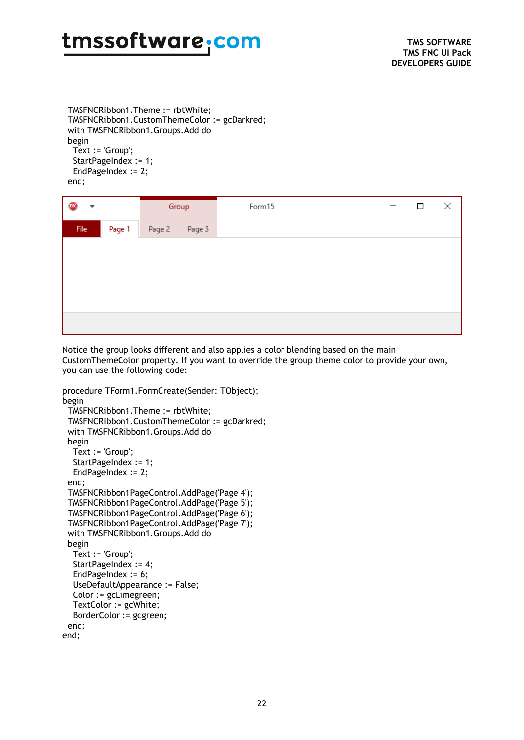TMSFNCRibbon1.Theme := rbtWhite; TMSFNCRibbon1.CustomThemeColor := gcDarkred; with TMSFNCRibbon1.Groups.Add do begin Text := 'Group'; StartPageIndex := 1; EndPageIndex := 2;

end;

| ٠    |        | Group         |  | Form15 |  | □ | × |
|------|--------|---------------|--|--------|--|---|---|
| File | Page 1 | Page 2 Page 3 |  |        |  |   |   |
|      |        |               |  |        |  |   |   |
|      |        |               |  |        |  |   |   |
|      |        |               |  |        |  |   |   |
|      |        |               |  |        |  |   |   |
|      |        |               |  |        |  |   |   |

Notice the group looks different and also applies a color blending based on the main CustomThemeColor property. If you want to override the group theme color to provide your own, you can use the following code:

```
procedure TForm1.FormCreate(Sender: TObject);
begin
  TMSFNCRibbon1.Theme := rbtWhite;
 TMSFNCRibbon1.CustomThemeColor := gcDarkred;
  with TMSFNCRibbon1.Groups.Add do
  begin
   Text := 'Group';
  StartPageIndex := 1;
  EndPageIndex := 2;
  end;
  TMSFNCRibbon1PageControl.AddPage('Page 4');
  TMSFNCRibbon1PageControl.AddPage('Page 5');
  TMSFNCRibbon1PageControl.AddPage('Page 6');
  TMSFNCRibbon1PageControl.AddPage('Page 7');
  with TMSFNCRibbon1.Groups.Add do
  begin
   Text := 'Group';
   StartPageIndex := 4;
   EndPageIndex := 6;
   UseDefaultAppearance := False;
   Color := gcLimegreen;
   TextColor := gcWhite;
   BorderColor := gcgreen;
  end;
end;
```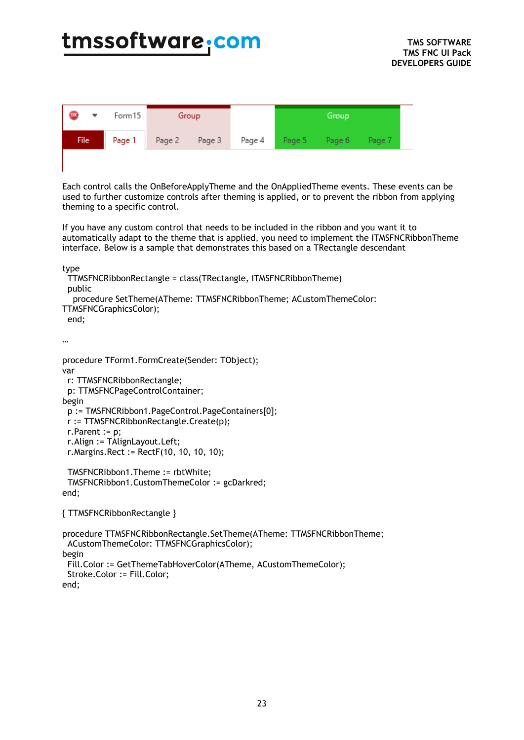| $\bullet$<br>▼ | Form15 | Group                |  | Group |                             |  |
|----------------|--------|----------------------|--|-------|-----------------------------|--|
| <b>File</b>    |        | Page 1 Page 2 Page 3 |  |       | Page 4 Page 5 Page 6 Page 7 |  |
|                |        |                      |  |       |                             |  |

Each control calls the OnBeforeApplyTheme and the OnAppliedTheme events. These events can be used to further customize controls after theming is applied, or to prevent the ribbon from applying theming to a specific control.

If you have any custom control that needs to be included in the ribbon and you want it to automatically adapt to the theme that is applied, you need to implement the ITMSFNCRibbonTheme interface. Below is a sample that demonstrates this based on a TRectangle descendant

type

```
 TTMSFNCRibbonRectangle = class(TRectangle, ITMSFNCRibbonTheme)
 public
   procedure SetTheme(ATheme: TTMSFNCRibbonTheme; ACustomThemeColor: 
TTMSFNCGraphicsColor);
 end;
```
…

```
procedure TForm1.FormCreate(Sender: TObject);
var
  r: TTMSFNCRibbonRectangle;
  p: TTMSFNCPageControlContainer;
begin
  p := TMSFNCRibbon1.PageControl.PageContainers[0];
  r := TTMSFNCRibbonRectangle.Create(p);
  r.Parent := p;
  r.Align := TAlignLayout.Left;
  r.Margins.Rect := RectF(10, 10, 10, 10);
  TMSFNCRibbon1.Theme := rbtWhite;
  TMSFNCRibbon1.CustomThemeColor := gcDarkred;
end;
```
{ TTMSFNCRibbonRectangle }

```
procedure TTMSFNCRibbonRectangle.SetTheme(ATheme: TTMSFNCRibbonTheme;
 ACustomThemeColor: TTMSFNCGraphicsColor);
begin
  Fill.Color := GetThemeTabHoverColor(ATheme, ACustomThemeColor);
  Stroke.Color := Fill.Color;
end;
```